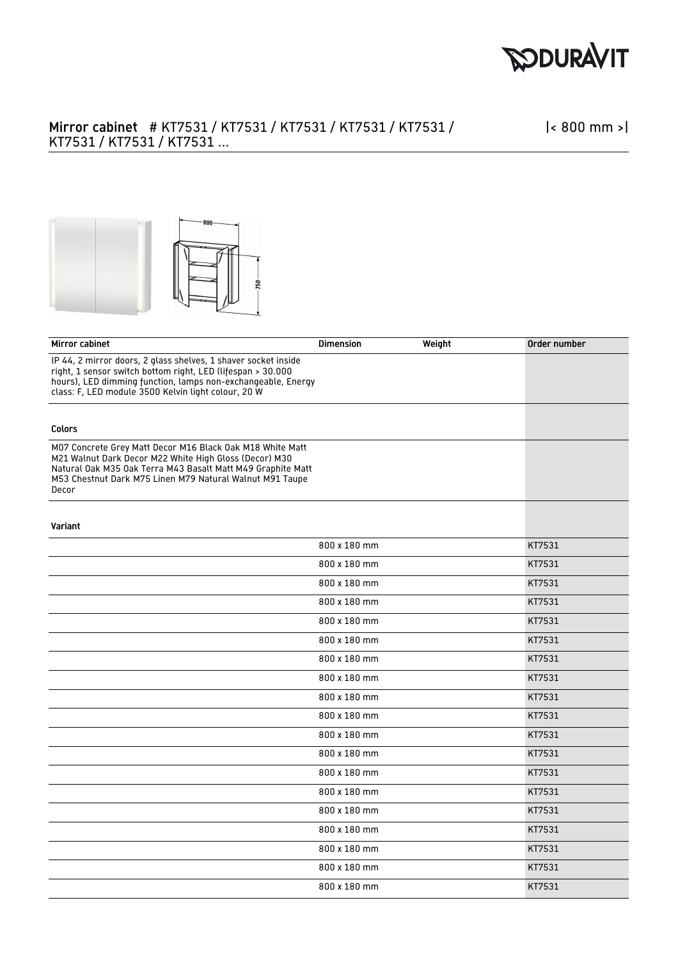

## Mirror cabinet # KT7531 / KT7531 / KT7531 / KT7531 / KT7531 / KT7531 / KT7531 / KT7531 ...

|< 800 mm >|



| Mirror cabinet                                                                                                                                                                                                                                          | <b>Dimension</b> | Weight | Order number |
|---------------------------------------------------------------------------------------------------------------------------------------------------------------------------------------------------------------------------------------------------------|------------------|--------|--------------|
| IP 44, 2 mirror doors, 2 glass shelves, 1 shaver socket inside<br>right, 1 sensor switch bottom right, LED (lifespan > 30.000<br>hours), LED dimming function, lamps non-exchangeable, Energy<br>class: F, LED module 3500 Kelvin light colour, 20 W    |                  |        |              |
| <b>Colors</b>                                                                                                                                                                                                                                           |                  |        |              |
| M07 Concrete Grey Matt Decor M16 Black Oak M18 White Matt<br>M21 Walnut Dark Decor M22 White High Gloss (Decor) M30<br>Natural Oak M35 Oak Terra M43 Basalt Matt M49 Graphite Matt<br>M53 Chestnut Dark M75 Linen M79 Natural Walnut M91 Taupe<br>Decor |                  |        |              |
| Variant                                                                                                                                                                                                                                                 |                  |        |              |
|                                                                                                                                                                                                                                                         | 800 x 180 mm     |        | KT7531       |
|                                                                                                                                                                                                                                                         | 800 x 180 mm     |        | KT7531       |
|                                                                                                                                                                                                                                                         | 800 x 180 mm     |        | KT7531       |
|                                                                                                                                                                                                                                                         | 800 x 180 mm     |        | KT7531       |
|                                                                                                                                                                                                                                                         | 800 x 180 mm     |        | KT7531       |
|                                                                                                                                                                                                                                                         | 800 x 180 mm     |        | KT7531       |
|                                                                                                                                                                                                                                                         | 800 x 180 mm     |        | KT7531       |
|                                                                                                                                                                                                                                                         | 800 x 180 mm     |        | KT7531       |
|                                                                                                                                                                                                                                                         | 800 x 180 mm     |        | KT7531       |
|                                                                                                                                                                                                                                                         | 800 x 180 mm     |        | KT7531       |
|                                                                                                                                                                                                                                                         | 800 x 180 mm     |        | KT7531       |
|                                                                                                                                                                                                                                                         | 800 x 180 mm     |        | KT7531       |
|                                                                                                                                                                                                                                                         | 800 x 180 mm     |        | KT7531       |
|                                                                                                                                                                                                                                                         | 800 x 180 mm     |        | KT7531       |
|                                                                                                                                                                                                                                                         | 800 x 180 mm     |        | KT7531       |
|                                                                                                                                                                                                                                                         | 800 x 180 mm     |        | KT7531       |
|                                                                                                                                                                                                                                                         | 800 x 180 mm     |        | KT7531       |
|                                                                                                                                                                                                                                                         | 800 x 180 mm     |        | KT7531       |
|                                                                                                                                                                                                                                                         | 800 x 180 mm     |        | KT7531       |